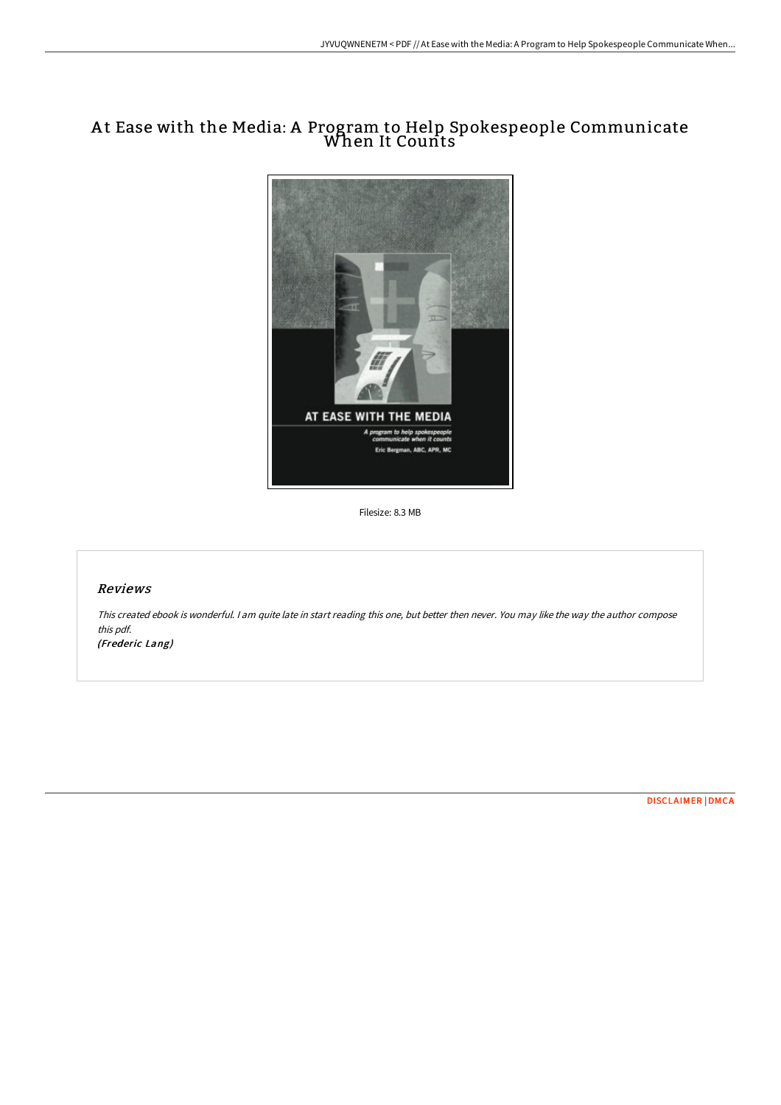## A t Ease with the Media: A Program to Help Spokespeople Communicate When It Counts  $\overline{\phantom{a}}$



Filesize: 8.3 MB

## Reviews

This created ebook is wonderful. <sup>I</sup> am quite late in start reading this one, but better then never. You may like the way the author compose this pdf.

(Frederic Lang)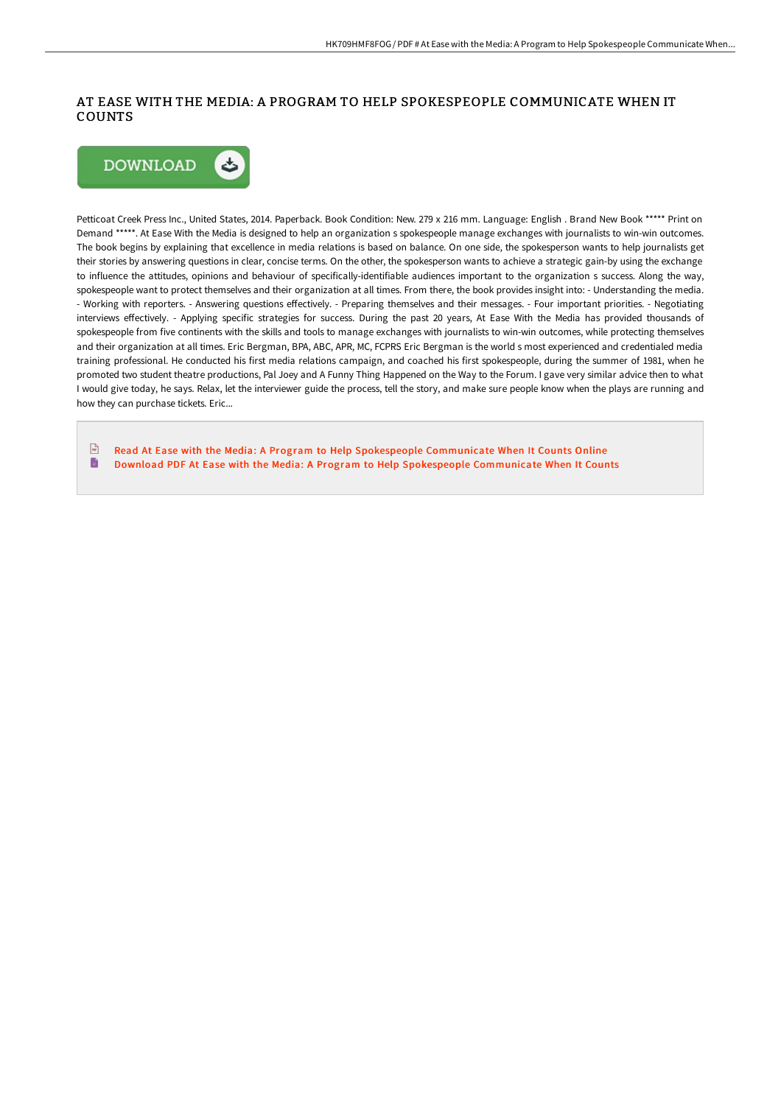## AT EASE WITH THE MEDIA: A PROGRAM TO HELP SPOKESPEOPLE COMMUNICATE WHEN IT COUNTS



Petticoat Creek Press Inc., United States, 2014. Paperback. Book Condition: New. 279 x 216 mm. Language: English . Brand New Book \*\*\*\*\* Print on Demand \*\*\*\*\*. At Ease With the Media is designed to help an organization s spokespeople manage exchanges with journalists to win-win outcomes. The book begins by explaining that excellence in media relations is based on balance. On one side, the spokesperson wants to help journalists get their stories by answering questions in clear, concise terms. On the other, the spokesperson wants to achieve a strategic gain-by using the exchange to influence the attitudes, opinions and behaviour of specifically-identifiable audiences important to the organization s success. Along the way, spokespeople want to protect themselves and their organization at all times. From there, the book provides insight into: - Understanding the media. - Working with reporters. - Answering questions effectively. - Preparing themselves and their messages. - Four important priorities. - Negotiating interviews effectively. - Applying specific strategies for success. During the past 20 years, At Ease With the Media has provided thousands of spokespeople from five continents with the skills and tools to manage exchanges with journalists to win-win outcomes, while protecting themselves and their organization at all times. Eric Bergman, BPA, ABC, APR, MC, FCPRS Eric Bergman is the world s most experienced and credentialed media training professional. He conducted his first media relations campaign, and coached his first spokespeople, during the summer of 1981, when he promoted two student theatre productions, Pal Joey and A Funny Thing Happened on the Way to the Forum. I gave very similar advice then to what I would give today, he says. Relax, let the interviewer guide the process, tell the story, and make sure people know when the plays are running and how they can purchase tickets. Eric...

 $\Gamma$ Read At Ease with the Media: A Program to Help Spokespeople [Communicate](http://digilib.live/at-ease-with-the-media-a-program-to-help-spokesp.html) When It Counts Online B Download PDF At Ease with the Media: A Program to Help Spokespeople [Communicate](http://digilib.live/at-ease-with-the-media-a-program-to-help-spokesp.html) When It Counts